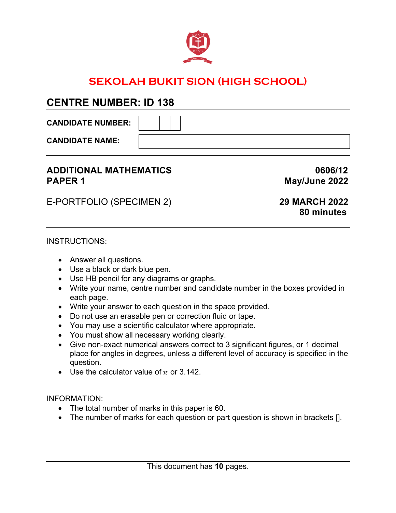

## **SEKOLAH BUKIT SION (HIGH SCHOOL)**

## **CENTRE NUMBER: ID 138**

**CANDIDATE NUMBER:** 

**CANDIDATE NAME:** 

### **ADDITIONAL MATHEMATICS 0606/12 PAPER 1** May/June 2022

E-PORTFOLIO (SPECIMEN 2) **29 MARCH 2022**

# **80 minutes**

#### INSTRUCTIONS:

- Answer all questions.
- Use a black or dark blue pen.
- Use HB pencil for any diagrams or graphs.
- Write your name, centre number and candidate number in the boxes provided in each page.
- Write your answer to each question in the space provided.
- Do not use an erasable pen or correction fluid or tape.
- You may use a scientific calculator where appropriate.
- You must show all necessary working clearly.
- Give non-exact numerical answers correct to 3 significant figures, or 1 decimal place for angles in degrees, unless a different level of accuracy is specified in the question.
- Use the calculator value of  $\pi$  or 3.142.

INFORMATION:

- The total number of marks in this paper is 60.
- The number of marks for each question or part question is shown in brackets [].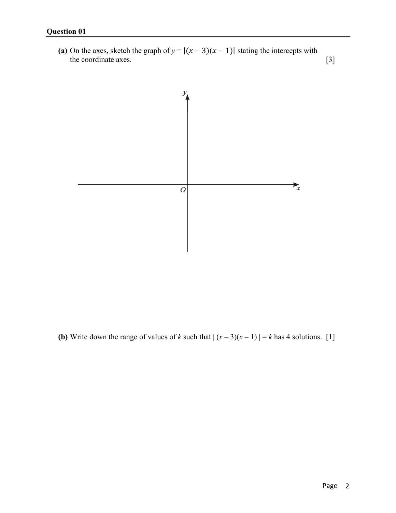(a) On the axes, sketch the graph of  $y = |(x - 3)(x - 1)|$  stating the intercepts with the coordinate axes. [3]



**(b)** Write down the range of values of *k* such that  $|(x-3)(x-1)| = k$  has 4 solutions. [1]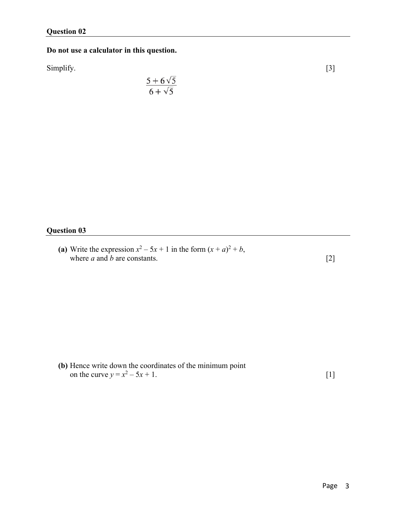#### **Do not use a calculator in this question.**

Simplify. [3]

$$
\frac{5+6\sqrt{5}}{6+\sqrt{5}}
$$

#### **Question 03**

(a) Write the expression  $x^2 - 5x + 1$  in the form  $(x + a)^2 + b$ , where *a* and *b* are constants.  $[2]$ 

**(b)** Hence write down the coordinates of the minimum point on the curve  $y = x^2 - 5x + 1$ . [1]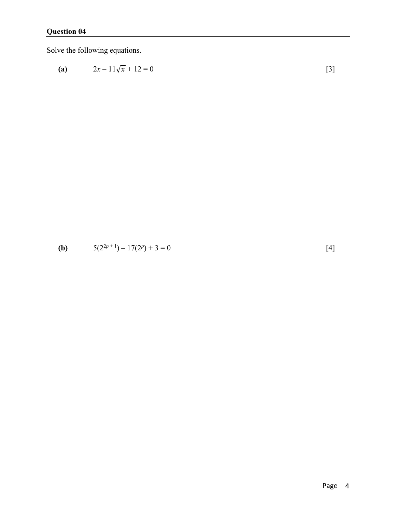Solve the following equations.

(a) 
$$
2x-11\sqrt{x}+12=0
$$
 [3]

**(b)** 
$$
5(2^{2p+1}) - 17(2^p) + 3 = 0
$$
 [4]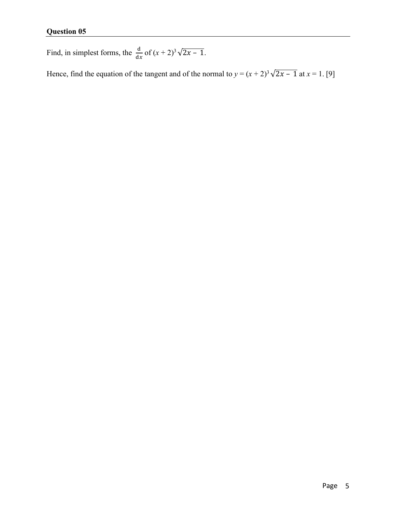Find, in simplest forms, the  $\frac{d}{dx}$  of  $(x + 2)^3 \sqrt{2x - 1}$ .

Hence, find the equation of the tangent and of the normal to  $y = (x + 2)^3 \sqrt{2x - 1}$  at  $x = 1$ . [9]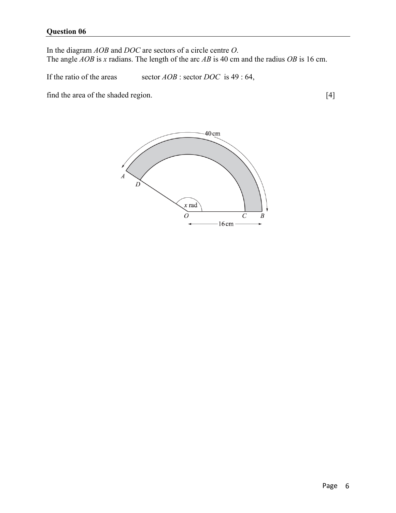In the diagram *AOB* and *DOC* are sectors of a circle centre *O*. The angle *AOB* is *x* radians. The length of the arc *AB* is 40 cm and the radius *OB* is 16 cm.

If the ratio of the areas sector *AOB* : sector *DOC* is 49 : 64,

find the area of the shaded region. [4]

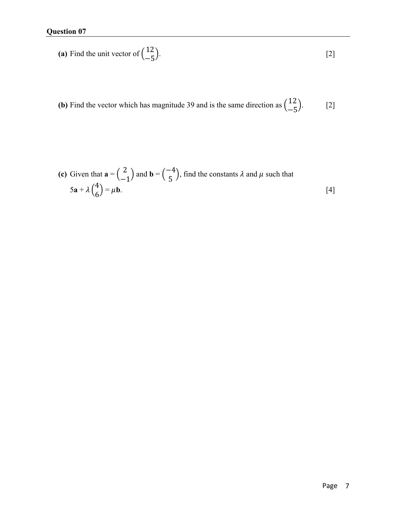(a) Find the unit vector of 
$$
\begin{pmatrix} 12 \\ -5 \end{pmatrix}
$$
. [2]

**(b)** Find the vector which has magnitude 39 and is the same direction as  $\begin{pmatrix} 12 \\ -5 \end{pmatrix}$  $[2]$ 

(c) Given that 
$$
\mathbf{a} = \begin{pmatrix} 2 \\ -1 \end{pmatrix}
$$
 and  $\mathbf{b} = \begin{pmatrix} -4 \\ 5 \end{pmatrix}$ , find the constants  $\lambda$  and  $\mu$  such that  
\n $5\mathbf{a} + \lambda \begin{pmatrix} 4 \\ 6 \end{pmatrix} = \mu \mathbf{b}$ . [4]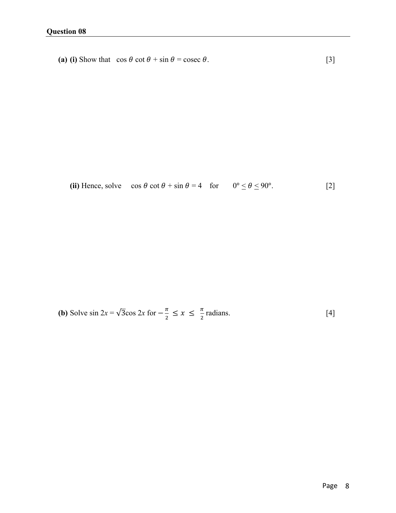**(a) (i)** Show that  $\cos \theta \cot \theta + \sin \theta = \csc \theta$ . [3]

(ii) Hence, solve  $\cos \theta \cot \theta + \sin \theta = 4$  for  $0^{\circ} \le \theta \le 90^{\circ}$ . [2]

**(b)** Solve 
$$
\sin 2x = \sqrt{3}\cos 2x
$$
 for  $-\frac{\pi}{2} \le x \le \frac{\pi}{2}$  radians. [4]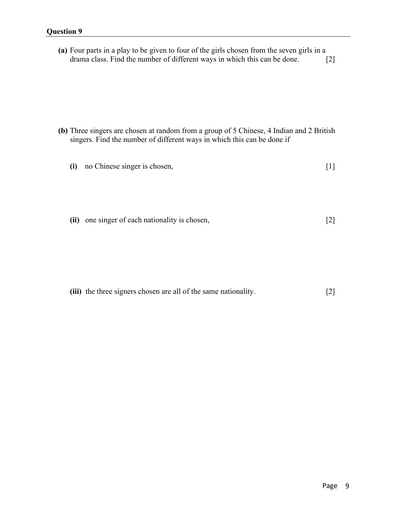| (a) Four parts in a play to be given to four of the girls chosen from the seven girls in a |                   |
|--------------------------------------------------------------------------------------------|-------------------|
| drama class. Find the number of different ways in which this can be done.                  | $\lceil 2 \rceil$ |

- **(b)** Three singers are chosen at random from a group of 5 Chinese, 4 Indian and 2 British singers. Find the number of different ways in which this can be done if
	- **(i)** no Chinese singer is chosen, [1]
	- **(ii)** one singer of each nationality is chosen, [2]

**(iii)** the three signers chosen are all of the same nationality. [2]